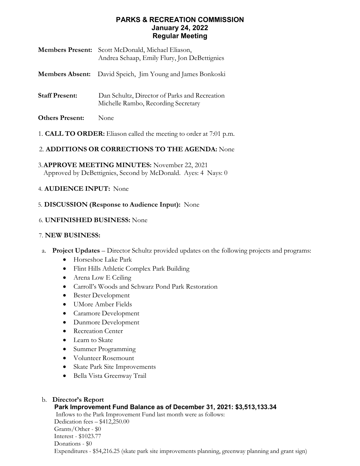### **PARKS & RECREATION COMMISSION January 24, 2022 Regular Meeting**

| <b>Members Present:</b> | Scott McDonald, Michael Eliason,<br>Andrea Schaap, Emily Flury, Jon DeBettignies     |
|-------------------------|--------------------------------------------------------------------------------------|
|                         | Members Absent: David Speich, Jim Young and James Bonkoski                           |
| <b>Staff Present:</b>   | Dan Schultz, Director of Parks and Recreation<br>Michelle Rambo, Recording Secretary |
| <b>Others Present:</b>  | None                                                                                 |

1. **CALL TO ORDER:** Eliason called the meeting to order at 7:01 p.m.

## 2. **ADDITIONS OR CORRECTIONS TO THE AGENDA:** None

3.**APPROVE MEETING MINUTES:** November 22, 2021 Approved by DeBettignies, Second by McDonald. Ayes: 4 Nays: 0

## 4. **AUDIENCE INPUT:** None

## 5. **DISCUSSION (Response to Audience Input):** None

### 6. **UNFINISHED BUSINESS:** None

#### 7. **NEW BUSINESS:**

- a. **Project Updates** Director Schultz provided updates on the following projects and programs:
	- Horseshoe Lake Park
	- Flint Hills Athletic Complex Park Building
	- Arena Low E Ceiling
	- Carroll's Woods and Schwarz Pond Park Restoration
	- Bester Development
	- UMore Amber Fields
	- Caramore Development
	- Dunmore Development
	- Recreation Center
	- Learn to Skate
	- Summer Programming
	- Volunteer Rosemount
	- Skate Park Site Improvements
	- Bella Vista Greenway Trail

# b. **Director's Report**

### **Park Improvement Fund Balance as of December 31, 2021: \$3,513,133.34**

Inflows to the Park Improvement Fund last month were as follows: Dedication fees – \$412,250.00 Grants/Other - \$0 Interest - \$1023.77 Donations - \$0 Expenditures - \$54,216.25 (skate park site improvements planning, greenway planning and grant sign)